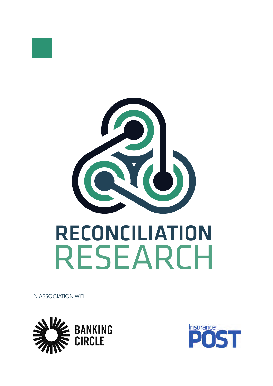

# **RECONCILIATION<br>RESEARCH**

IN ASSOCIATION WITH



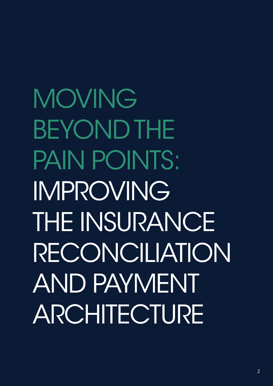MOVING BEYOND THE PAIN POINTS: IMPROVING THE INSURANCE RECONCILIATION AND PAYMENT ARCHITECTURE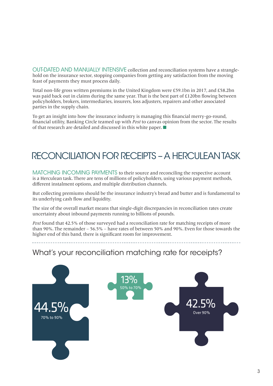OUT-DATED AND MANUALLY INTENSIVE collection and reconciliation systems have a stranglehold on the insurance sector, stopping companies from getting any satisfaction from the moving feast of payments they must process daily.

Total non-life gross written premiums in the United Kingdom were £59.1bn in 2017, and £58.2bn was paid back out in claims during the same year. That is the best part of £120bn flowing between policyholders, brokers, intermediaries, insurers, loss adjusters, repairers and other associated parties in the supply chain.

To get an insight into how the insurance industry is managing this financial merry-go-round, financial utility, Banking Circle teamed up with Post to canvas opinion from the sector. The results of that research are detailed and discussed in this white paper. ■

## RECONCILIATION FOR RECEIPTS – A HERCULEAN TASK

MATCHING INCOMING PAYMENTS to their source and reconciling the respective account is a Herculean task. There are tens of millions of policyholders, using various payment methods, different instalment options, and multiple distribution channels.

But collecting premiums should be the insurance industry's bread and butter and is fundamental to its underlying cash flow and liquidity.

The size of the overall market means that single-digit discrepancies in reconciliation rates create uncertainty about inbound payments running to billions of pounds.

Post found that 42.5% of those surveyed had a reconciliation rate for matching receipts of more than 90%. The remainder – 56.5% – have rates of between 50% and 90%. Even for those towards the higher end of this band, there is significant room for improvement.

#### What's your reconciliation matching rate for receipts?

\_\_\_\_\_\_\_\_\_\_\_\_\_\_\_\_\_

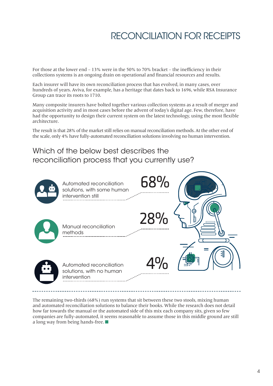# RECONCILIATION FOR RECEIPTS

For those at the lower end – 13% were in the 50% to 70% bracket – the inefficiency in their collections systems is an ongoing drain on operational and financial resources and results.

Each insurer will have its own reconciliation process that has evolved, in many cases, over hundreds of years. Aviva, for example, has a heritage that dates back to 1696, while RSA Insurance Group can trace its roots to 1710.

Many composite insurers have bolted together various collection systems as a result of merger and acquisition activity and in most cases before the advent of today's digital age. Few, therefore, have had the opportunity to design their current system on the latest technology, using the most flexible architecture.

The result is that 28% of the market still relies on manual reconciliation methods. At the other end of the scale, only 4% have fully-automated reconciliation solutions involving no human intervention.

#### Which of the below best describes the reconciliation process that you currently use?



The remaining two-thirds (68%) run systems that sit between these two stools, mixing human and automated reconciliation solutions to balance their books. While the research does not detail how far towards the manual or the automated side of this mix each company sits, given so few companies are fully-automated, it seems reasonable to assume those in this middle ground are still a long way from being hands-free. ■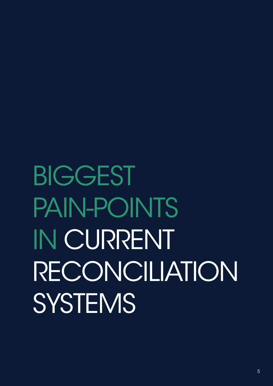# BIGGEST PAIN-POINTS IN CURRENT RECONCILIATION **SYSTEMS**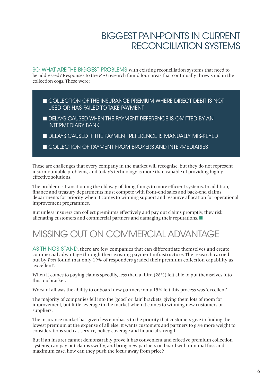### BIGGEST PAIN-POINTS IN CURRENT RECONCILIATION SYSTEMS

SO, WHAT ARE THE BIGGEST PROBLEMS with existing reconciliation systems that need to be addressed? Responses to the *Post* research found four areas that continually threw sand in the collection cogs. These were:

- **EXECTED COLLECTION OF THE INSURANCE PREMIUM WHERE DIRECT DEBIT IS NOT** USED OR HAS FAILED TO TAKE PAYMENT
- **DELAYS CAUSED WHEN THE PAYMENT REFERENCE IS OMITTED BY AN** INTERMEDIARY BANK
- **DELAYS CAUSED IF THE PAYMENT REFERENCE IS MANUALLY MIS-KEYED**
- **N COLLECTION OF PAYMENT FROM BROKERS AND INTERMEDIARIES**

These are challenges that every company in the market will recognise, but they do not represent insurmountable problems, and today's technology is more than capable of providing highly effective solutions.

The problem is transitioning the old way of doing things to more efficient systems. In addition, finance and treasury departments must compete with front-end sales and back-end claims departments for priority when it comes to winning support and resource allocation for operational improvement programmes.

But unless insurers can collect premiums effectively and pay out claims promptly, they risk alienating customers and commercial partners and damaging their reputations. ■

# MISSING OUT ON COMMERCIAL ADVANTAGE

AS THINGS STAND, there are few companies that can differentiate themselves and create commercial advantage through their existing payment infrastructure. The research carried out by Post found that only 19% of responders graded their premium collection capability as 'excellent'.

When it comes to paying claims speedily, less than a third (28%) felt able to put themselves into this top bracket.

Worst of all was the ability to onboard new partners; only 15% felt this process was 'excellent'.

The majority of companies fell into the 'good' or 'fair' brackets, giving them lots of room for improvement, but little leverage in the market when it comes to winning new customers or suppliers.

The insurance market has given less emphasis to the priority that customers give to finding the lowest premium at the expense of all else. It wants customers and partners to give more weight to considerations such as service, policy coverage and financial strength.

But if an insurer cannot demonstrably prove it has convenient and effective premium collection systems, can pay out claims swiftly, and bring new partners on board with minimal fuss and maximum ease, how can they push the focus away from price?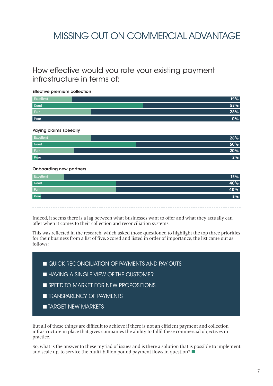## MISSING OUT ON COMMERCIAL ADVANTAGE

#### How effective would you rate your existing payment infrastructure in terms of:

#### Effective premium collection

| Excellent | 19%       |
|-----------|-----------|
| Good      | 53%       |
| Fair      | 28%       |
| Poor      | <b>0%</b> |

#### Paying claims speedily

| Excellent | 28%        |
|-----------|------------|
| Good      | <b>50%</b> |
| Fair      | $20\%$     |
| Poor      | 2%         |

#### Onboarding new partners



Indeed, it seems there is a lag between what businesses want to offer and what they actually can offer when it comes to their collection and reconciliation systems.

This was reflected in the research, which asked those questioned to highlight the top three priorities for their business from a list of five. Scored and listed in order of importance, the list came out as follows:

**N** QUICK RECONCILIATION OF PAYMENTS AND PAY-OUTS

- **N HAVING A SINGLE VIEW OF THE CUSTOMER**
- **NO SPEED TO MARKET FOR NEW PROPOSITIONS**
- **N TRANSPARENCY OF PAYMENTS**
- **n** TARGET NEW MARKETS

But all of these things are difficult to achieve if there is not an efficient payment and collection infrastructure in place that gives companies the ability to fulfil these commercial objectives in practice.

So, what is the answer to these myriad of issues and is there a solution that is possible to implement and scale up, to service the multi-billion pound payment flows in question? ■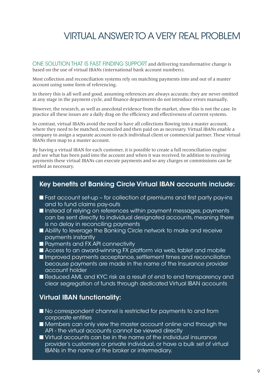ONE SOLUTION THAT IS FAST FINDING SUPPORT and delivering transformative change is based on the use of virtual IBANs (international bank account numbers).

Most collection and reconciliation systems rely on matching payments into and out of a master account using some form of referencing.

In theory this is all well and good, assuming references are always accurate, they are never omitted at any stage in the payment cycle, and finance departments do not introduce errors manually.

However, the research, as well as anecdotal evidence from the market, show this is not the case. In practice all these issues are a daily drag on the efficiency and effectiveness of current systems.

In contrast, virtual IBANs avoid the need to have all collections flowing into a master account, where they need to be matched, reconciled and then paid on as necessary. Virtual IBANs enable a company to assign a separate account to each individual client or commercial partner. These virtual IBANs then map to a master account.

By having a virtual IBAN for each customer, it is possible to create a full reconciliation engine and see what has been paid into the account and when it was received. In addition to receiving payments these virtual IBANs can execute payments and so any charges or commissions can be settled as necessary.

#### Key benefits of Banking Circle Virtual IBAN accounts include:

- Fast account set-up for collection of premiums and first party pay-ins and to fund claims pay-outs
- **n Instead of relying on references within payment messages, payments** can be sent directly to individual designated accounts, meaning there is no delay in reconciling payments
- Ability to leverage the Banking Circle network to make and receive payments instantly
- **n** Payments and FX API connectivity
- Access to an award-winning FX platform via web, tablet and mobile
- **n Improved payments acceptance, settlement times and reconciliation** because payments are made in the name of the Insurance provider account holder
- Reduced AML and KYC risk as a result of end to end transparency and clear segregation of funds through dedicated Virtual IBAN accounts

#### Virtual IBAN functionality:

- $\blacksquare$  No correspondent channel is restricted for payments to and from corporate entities
- Members can only view the master account online and through the API - the virtual accounts cannot be viewed directly
- Virtual accounts can be in the name of the individual insurance provider's customers or private individual, or have a bulk set of virtual IBANs in the name of the broker or intermediary.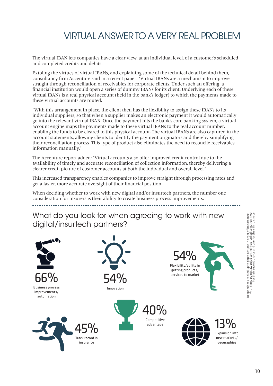The virtual IBAN lets companies have a clear view, at an individual level, of a customer's scheduled and completed credits and debits.

Extoling the virtues of virtual IBANs, and explaining some of the technical detail behind them, consultancy firm Accenture said in a recent paper: "Virtual IBANs are a mechanism to improve straight through reconciliation of receivables for corporate clients. Under such an offering, a financial institution would open a series of dummy IBANs for its client. Underlying each of these virtual IBANs is a real physical account (held in the bank's ledger) to which the payments made to these virtual accounts are routed.

"With this arrangement in place, the client then has the flexibility to assign these IBANs to its individual suppliers, so that when a supplier makes an electronic payment it would automatically go into the relevant virtual IBAN. Once the payment hits the bank's core banking system, a virtual account engine maps the payments made to these virtual IBANs to the real account number, enabling the funds to be cleared to this physical account. The virtual IBANs are also captured in the account statements, allowing clients to identify the payment originators and thereby simplifying their reconciliation process. This type of product also eliminates the need to reconcile receivables information manually."

The Accenture report added: "Virtual accounts also offer improved credit control due to the availability of timely and accurate reconciliation of collection information, thereby delivering a clearer credit picture of customer accounts at both the individual and overall level."

This increased transparency enables companies to improve straight through processing rates and get a faster, more accurate oversight of their financial position.

When deciding whether to work with new digital and/or insurtech partners, the number one consideration for insurers is their ability to create business process improvements.

What do you look for when agreeing to work with new digital/insurtech partners?

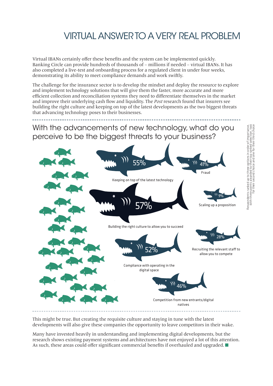Virtual IBANs certainly offer these benefits and the system can be implemented quickly. Banking Circle can provide hundreds of thousands of – millions if needed – virtual IBANs. It has also completed a live-test and onboarding process for a regulated client in under four weeks, demonstrating its ability to meet compliance demands and work swiftly.

The challenge for the insurance sector is to develop the mindset and deploy the resource to explore and implement technology solutions that will give them the faster, more accurate and more efficient collection and reconciliation systems they need to differentiate themselves in the market and improve their underlying cash flow and liquidity. The Post research found that insurers see building the right culture and keeping on top of the latest developments as the two biggest threats that advancing technology poses to their businesses.

With the advancements of new technology, what do you perceive to be the biggest threats to your business?



This might be true. But creating the requisite culture and staying in tune with the latest developments will also give these companies the opportunity to leave competitors in their wake.

Many have invested heavily in understanding and implementing digital developments, but the research shows existing payment systems and architectures have not enjoyed a lot of this attention. As such, these areas could offer significant commercial benefits if overhauled and upgraded. ■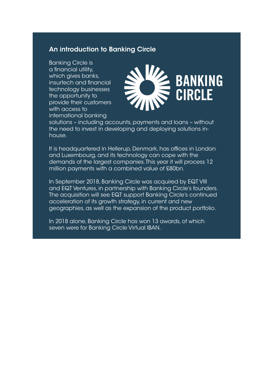#### An introduction to Banking Circle

Banking Circle is a financial utility, which gives banks, insurtech and financial technology businesses the opportunity to provide their customers with access to international banking



solutions – including accounts, payments and loans – without the need to invest in developing and deploying solutions inhouse.

It is headquartered in Hellerup, Denmark, has offices in London and Luxembourg, and its technology can cope with the demands of the largest companies. This year it will process 12 million payments with a combined value of £80bn.

In September 2018, Banking Circle was acquired by EQT VIII and EQT Ventures, in partnership with Banking Circle's founders. The acquisition will see EQT support Banking Circle's continued acceleration of its growth strategy, in current and new geographies, as well as the expansion of the product portfolio.

In 2018 alone, Banking Circle has won 13 awards, of which seven were for Banking Circle Virtual IBAN.